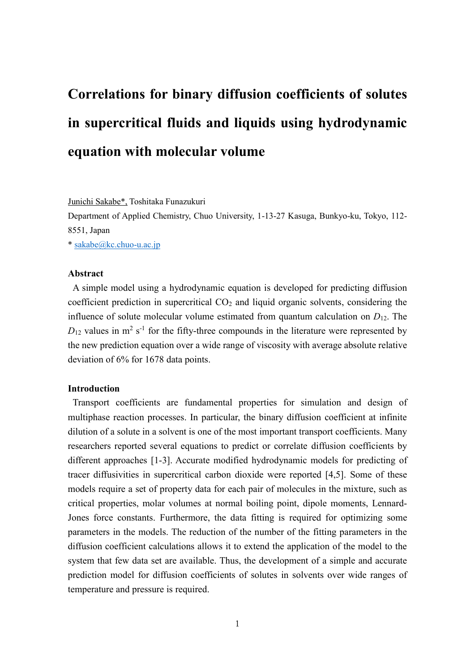# **Correlations for binary diffusion coefficients of solutes in supercritical fluids and liquids using hydrodynamic equation with molecular volume**

Junichi Sakabe\*, Toshitaka Funazukuri

Department of Applied Chemistry, Chuo University, 1-13-27 Kasuga, Bunkyo-ku, Tokyo, 112- 8551, Japan

\* [sakabe@kc.chuo-u.ac.jp](mailto:sakabe@kc.chuo-u.ac.jp)

### **Abstract**

A simple model using a hydrodynamic equation is developed for predicting diffusion coefficient prediction in supercritical  $CO<sub>2</sub>$  and liquid organic solvents, considering the influence of solute molecular volume estimated from quantum calculation on *D*12. The  $D_{12}$  values in m<sup>2</sup> s<sup>-1</sup> for the fifty-three compounds in the literature were represented by the new prediction equation over a wide range of viscosity with average absolute relative deviation of 6% for 1678 data points.

# **Introduction**

Transport coefficients are fundamental properties for simulation and design of multiphase reaction processes. In particular, the binary diffusion coefficient at infinite dilution of a solute in a solvent is one of the most important transport coefficients. Many researchers reported several equations to predict or correlate diffusion coefficients by different approaches [1-3]. Accurate modified hydrodynamic models for predicting of tracer diffusivities in supercritical carbon dioxide were reported [4,5]. Some of these models require a set of property data for each pair of molecules in the mixture, such as critical properties, molar volumes at normal boiling point, dipole moments, Lennard-Jones force constants. Furthermore, the data fitting is required for optimizing some parameters in the models. The reduction of the number of the fitting parameters in the diffusion coefficient calculations allows it to extend the application of the model to the system that few data set are available. Thus, the development of a simple and accurate prediction model for diffusion coefficients of solutes in solvents over wide ranges of temperature and pressure is required.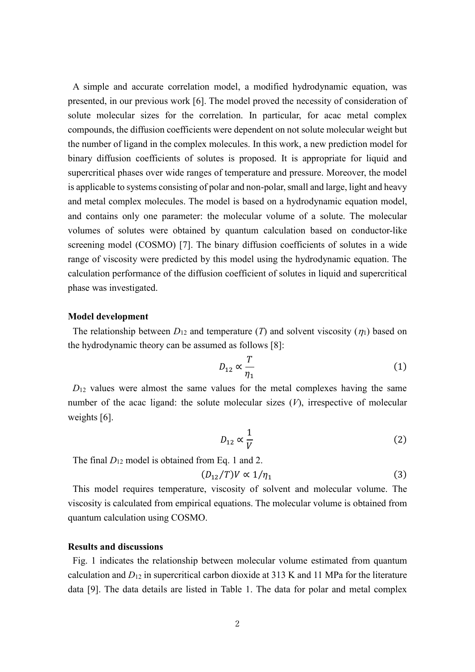A simple and accurate correlation model, a modified hydrodynamic equation, was presented, in our previous work [6]. The model proved the necessity of consideration of solute molecular sizes for the correlation. In particular, for acac metal complex compounds, the diffusion coefficients were dependent on not solute molecular weight but the number of ligand in the complex molecules. In this work, a new prediction model for binary diffusion coefficients of solutes is proposed. It is appropriate for liquid and supercritical phases over wide ranges of temperature and pressure. Moreover, the model is applicable to systems consisting of polar and non-polar, small and large, light and heavy and metal complex molecules. The model is based on a hydrodynamic equation model, and contains only one parameter: the molecular volume of a solute. The molecular volumes of solutes were obtained by quantum calculation based on conductor-like screening model (COSMO) [7]. The binary diffusion coefficients of solutes in a wide range of viscosity were predicted by this model using the hydrodynamic equation. The calculation performance of the diffusion coefficient of solutes in liquid and supercritical phase was investigated.

#### **Model development**

The relationship between  $D_{12}$  and temperature (*T*) and solvent viscosity ( $\eta_1$ ) based on the hydrodynamic theory can be assumed as follows [8]:

$$
D_{12} \propto \frac{T}{\eta_1} \tag{1}
$$

 $D_{12}$  values were almost the same values for the metal complexes having the same number of the acac ligand: the solute molecular sizes (*V*), irrespective of molecular weights [6].

$$
D_{12} \propto \frac{1}{V} \tag{2}
$$

The final  $D_{12}$  model is obtained from Eq. 1 and 2.

$$
(D_{12}/T)V \propto 1/\eta_1 \tag{3}
$$

This model requires temperature, viscosity of solvent and molecular volume. The viscosity is calculated from empirical equations. The molecular volume is obtained from quantum calculation using COSMO.

## **Results and discussions**

Fig. 1 indicates the relationship between molecular volume estimated from quantum calculation and *D*<sup>12</sup> in supercritical carbon dioxide at 313 K and 11 MPa for the literature data [9]. The data details are listed in Table 1. The data for polar and metal complex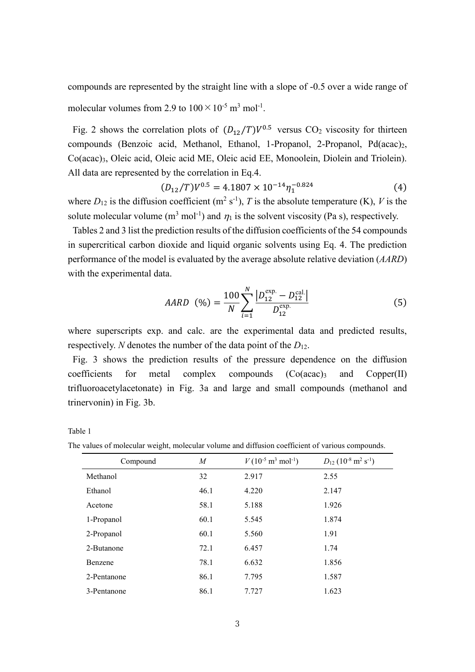compounds are represented by the straight line with a slope of -0.5 over a wide range of molecular volumes from 2.9 to  $100 \times 10^{-5}$  m<sup>3</sup> mol<sup>-1</sup>.

Fig. 2 shows the correlation plots of  $(D_{12}/T)V^{0.5}$  versus CO<sub>2</sub> viscosity for thirteen compounds (Benzoic acid, Methanol, Ethanol, 1-Propanol, 2-Propanol, Pd(acac)<sub>2</sub>, Co(acac)3, Oleic acid, Oleic acid ME, Oleic acid EE, Monoolein, Diolein and Triolein). All data are represented by the correlation in Eq.4.

$$
(D_{12}/T)V^{0.5} = 4.1807 \times 10^{-14} \eta_1^{-0.824}
$$
 (4)

where  $D_{12}$  is the diffusion coefficient (m<sup>2</sup> s<sup>-1</sup>), *T* is the absolute temperature (K), *V* is the solute molecular volume (m<sup>3</sup> mol<sup>-1</sup>) and  $\eta_1$  is the solvent viscosity (Pa s), respectively.

Tables 2 and 3 list the prediction results of the diffusion coefficients of the 54 compounds in supercritical carbon dioxide and liquid organic solvents using Eq. 4. The prediction performance of the model is evaluated by the average absolute relative deviation (*AARD*) with the experimental data.

$$
AARD \quad (\%) = \frac{100}{N} \sum_{i=1}^{N} \frac{\left| D_{12}^{\text{exp.}} - D_{12}^{\text{cal.}} \right|}{D_{12}^{\text{exp.}}} \tag{5}
$$

where superscripts exp. and calc. are the experimental data and predicted results, respectively. *N* denotes the number of the data point of the  $D_{12}$ .

Fig. 3 shows the prediction results of the pressure dependence on the diffusion  $coefficients$  for metal complex compounds  $(Co (acac))$  and  $Copper(II)$ trifluoroacetylacetonate) in Fig. 3a and large and small compounds (methanol and trinervonin) in Fig. 3b.

Table 1

The values of molecular weight, molecular volume and diffusion coefficient of various compounds.

| Compound    | M    | $V(10^{-5} \text{ m}^3 \text{ mol}^{-1})$ | $D_{12}$ (10 <sup>-8</sup> m <sup>2</sup> s <sup>-1</sup> ) |
|-------------|------|-------------------------------------------|-------------------------------------------------------------|
| Methanol    | 32   | 2.917                                     | 2.55                                                        |
| Ethanol     | 46.1 | 4.220                                     | 2.147                                                       |
| Acetone     | 58.1 | 5.188                                     | 1.926                                                       |
| 1-Propanol  | 60.1 | 5.545                                     | 1.874                                                       |
| 2-Propanol  | 60.1 | 5.560                                     | 1.91                                                        |
| 2-Butanone  | 72.1 | 6.457                                     | 1.74                                                        |
| Benzene     | 78.1 | 6.632                                     | 1.856                                                       |
| 2-Pentanone | 86.1 | 7.795                                     | 1.587                                                       |
| 3-Pentanone | 86.1 | 7.727                                     | 1.623                                                       |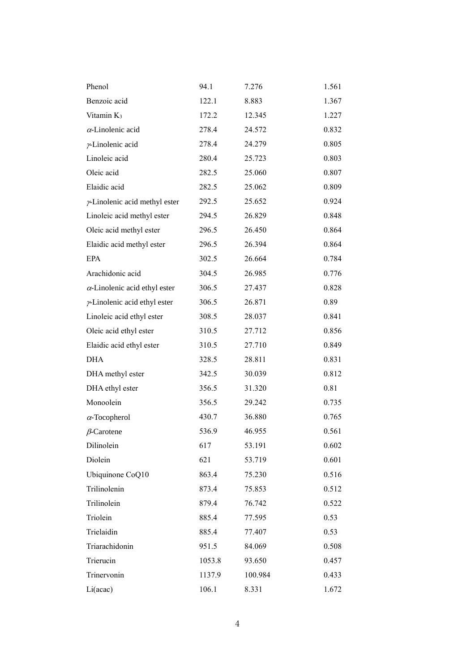| Phenol                               | 94.1   | 7.276   | 1.561 |
|--------------------------------------|--------|---------|-------|
| Benzoic acid                         | 122.1  | 8.883   | 1.367 |
| Vitamin $K_3$                        | 172.2  | 12.345  | 1.227 |
| $\alpha$ -Linolenic acid             | 278.4  | 24.572  | 0.832 |
| y-Linolenic acid                     | 278.4  | 24.279  | 0.805 |
| Linoleic acid                        | 280.4  | 25.723  | 0.803 |
| Oleic acid                           | 282.5  | 25.060  | 0.807 |
| Elaidic acid                         | 282.5  | 25.062  | 0.809 |
| $\nu$ -Linolenic acid methyl ester   | 292.5  | 25.652  | 0.924 |
| Linoleic acid methyl ester           | 294.5  | 26.829  | 0.848 |
| Oleic acid methyl ester              | 296.5  | 26.450  | 0.864 |
| Elaidic acid methyl ester            | 296.5  | 26.394  | 0.864 |
| EPA                                  | 302.5  | 26.664  | 0.784 |
| Arachidonic acid                     | 304.5  | 26.985  | 0.776 |
| $\alpha$ -Linolenic acid ethyl ester | 306.5  | 27.437  | 0.828 |
| $\nu$ -Linolenic acid ethyl ester    | 306.5  | 26.871  | 0.89  |
| Linoleic acid ethyl ester            | 308.5  | 28.037  | 0.841 |
| Oleic acid ethyl ester               | 310.5  | 27.712  | 0.856 |
| Elaidic acid ethyl ester             | 310.5  | 27.710  | 0.849 |
| <b>DHA</b>                           | 328.5  | 28.811  | 0.831 |
| DHA methyl ester                     | 342.5  | 30.039  | 0.812 |
| DHA ethyl ester                      | 356.5  | 31.320  | 0.81  |
| Monoolein                            | 356.5  | 29.242  | 0.735 |
| $\alpha$ -Tocopherol                 | 430.7  | 36.880  | 0.765 |
| $\beta$ -Carotene                    | 536.9  | 46.955  | 0.561 |
| Dilinolein                           | 617    | 53.191  | 0.602 |
| Diolein                              | 621    | 53.719  | 0.601 |
| Ubiquinone CoQ10                     | 863.4  | 75.230  | 0.516 |
| Trilinolenin                         | 873.4  | 75.853  | 0.512 |
| Trilinolein                          | 879.4  | 76.742  | 0.522 |
| Triolein                             | 885.4  | 77.595  | 0.53  |
| Trielaidin                           | 885.4  | 77.407  | 0.53  |
| Triarachidonin                       | 951.5  | 84.069  | 0.508 |
| Trierucin                            | 1053.8 | 93.650  | 0.457 |
| Trinervonin                          | 1137.9 | 100.984 | 0.433 |
| Li(acac)                             | 106.1  | 8.331   | 1.672 |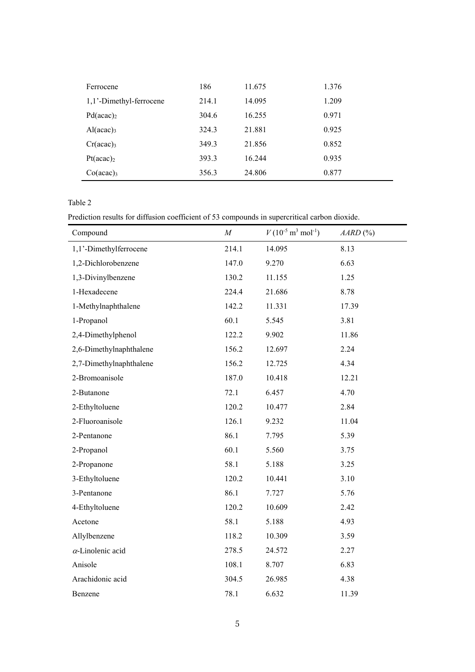| Ferrocene               | 186   | 11.675 | 1.376 |
|-------------------------|-------|--------|-------|
| 1,1'-Dimethyl-ferrocene | 214.1 | 14.095 | 1.209 |
| Pd(acac) <sub>2</sub>   | 304.6 | 16.255 | 0.971 |
| Al(acac) <sub>3</sub>   | 324.3 | 21.881 | 0.925 |
| Cr(acac) <sub>3</sub>   | 349.3 | 21.856 | 0.852 |
| $Pt (acac)_2$           | 393.3 | 16.244 | 0.935 |
| $Co(\text{acac})_3$     | 356.3 | 24.806 | 0.877 |

## Table 2

Prediction results for diffusion coefficient of 53 compounds in supercritical carbon dioxide.

| Compound                 | $\boldsymbol{M}$ | $V(10^{-5} \text{ m}^3 \text{ mol}^{-1})$ | $AARD$ (%) |
|--------------------------|------------------|-------------------------------------------|------------|
| 1,1'-Dimethylferrocene   | 214.1            | 14.095                                    | 8.13       |
| 1,2-Dichlorobenzene      | 147.0            | 9.270                                     | 6.63       |
| 1,3-Divinylbenzene       | 130.2            | 11.155                                    | 1.25       |
| 1-Hexadecene             | 224.4            | 21.686                                    | 8.78       |
| 1-Methylnaphthalene      | 142.2            | 11.331                                    | 17.39      |
| 1-Propanol               | 60.1             | 5.545                                     | 3.81       |
| 2,4-Dimethylphenol       | 122.2            | 9.902                                     | 11.86      |
| 2,6-Dimethylnaphthalene  | 156.2            | 12.697                                    | 2.24       |
| 2,7-Dimethylnaphthalene  | 156.2            | 12.725                                    | 4.34       |
| 2-Bromoanisole           | 187.0            | 10.418                                    | 12.21      |
| 2-Butanone               | 72.1             | 6.457                                     | 4.70       |
| 2-Ethyltoluene           | 120.2            | 10.477                                    | 2.84       |
| 2-Fluoroanisole          | 126.1            | 9.232                                     | 11.04      |
| 2-Pentanone              | 86.1             | 7.795                                     | 5.39       |
| 2-Propanol               | 60.1             | 5.560                                     | 3.75       |
| 2-Propanone              | 58.1             | 5.188                                     | 3.25       |
| 3-Ethyltoluene           | 120.2            | 10.441                                    | 3.10       |
| 3-Pentanone              | 86.1             | 7.727                                     | 5.76       |
| 4-Ethyltoluene           | 120.2            | 10.609                                    | 2.42       |
| Acetone                  | 58.1             | 5.188                                     | 4.93       |
| Allylbenzene             | 118.2            | 10.309                                    | 3.59       |
| $\alpha$ -Linolenic acid | 278.5            | 24.572                                    | 2.27       |
| Anisole                  | 108.1            | 8.707                                     | 6.83       |
| Arachidonic acid         | 304.5            | 26.985                                    | 4.38       |
| Benzene                  | 78.1             | 6.632                                     | 11.39      |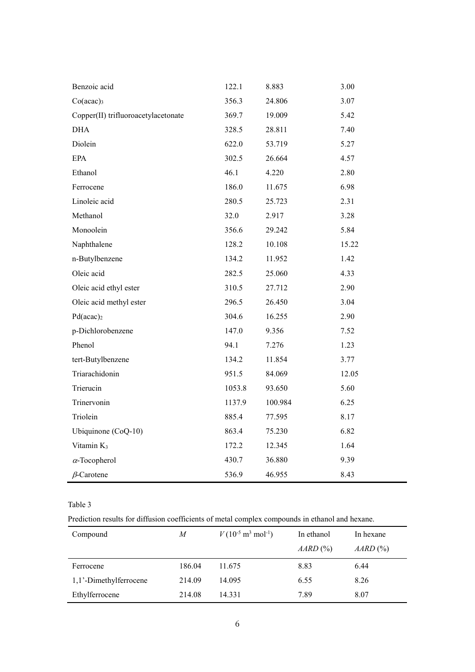| Benzoic acid                        | 122.1  | 8.883   | 3.00  |
|-------------------------------------|--------|---------|-------|
| $Co(acac)_3$                        | 356.3  | 24.806  | 3.07  |
| Copper(II) trifluoroacetylacetonate | 369.7  | 19.009  | 5.42  |
| <b>DHA</b>                          | 328.5  | 28.811  | 7.40  |
| Diolein                             | 622.0  | 53.719  | 5.27  |
| <b>EPA</b>                          | 302.5  | 26.664  | 4.57  |
| Ethanol                             | 46.1   | 4.220   | 2.80  |
| Ferrocene                           | 186.0  | 11.675  | 6.98  |
| Linoleic acid                       | 280.5  | 25.723  | 2.31  |
| Methanol                            | 32.0   | 2.917   | 3.28  |
| Monoolein                           | 356.6  | 29.242  | 5.84  |
| Naphthalene                         | 128.2  | 10.108  | 15.22 |
| n-Butylbenzene                      | 134.2  | 11.952  | 1.42  |
| Oleic acid                          | 282.5  | 25.060  | 4.33  |
| Oleic acid ethyl ester              | 310.5  | 27.712  | 2.90  |
| Oleic acid methyl ester             | 296.5  | 26.450  | 3.04  |
| Pd(acac) <sub>2</sub>               | 304.6  | 16.255  | 2.90  |
| p-Dichlorobenzene                   | 147.0  | 9.356   | 7.52  |
| Phenol                              | 94.1   | 7.276   | 1.23  |
| tert-Butylbenzene                   | 134.2  | 11.854  | 3.77  |
| Triarachidonin                      | 951.5  | 84.069  | 12.05 |
| Trierucin                           | 1053.8 | 93.650  | 5.60  |
| Trinervonin                         | 1137.9 | 100.984 | 6.25  |
| Triolein                            | 885.4  | 77.595  | 8.17  |
| Ubiquinone (CoQ-10)                 | 863.4  | 75.230  | 6.82  |
| Vitamin K <sub>3</sub>              | 172.2  | 12.345  | 1.64  |
| $\alpha$ -Tocopherol                | 430.7  | 36.880  | 9.39  |
| $\beta$ -Carotene                   | 536.9  | 46.955  | 8.43  |

Table 3

Prediction results for diffusion coefficients of metal complex compounds in ethanol and hexane.

| Compound               | M      | $V(10^{-5} \text{ m}^3 \text{ mol}^{-1})$ | In ethanol<br>AARD (%) | In hexane<br>$AARD$ (%) |
|------------------------|--------|-------------------------------------------|------------------------|-------------------------|
| Ferrocene              | 186.04 | 11.675                                    | 8.83                   | 6.44                    |
| 1,1'-Dimethylferrocene | 214.09 | 14.095                                    | 6.55                   | 8.26                    |
| Ethylferrocene         | 214.08 | 14.331                                    | 7.89                   | 8.07                    |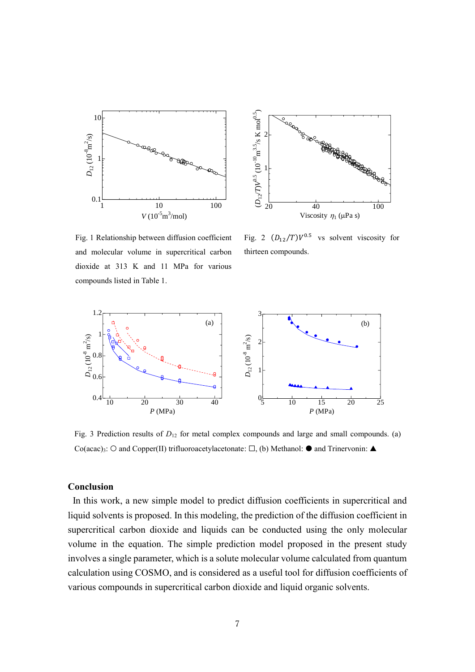



Fig. 1 Relationship between diffusion coefficient and molecular volume in supercritical carbon dioxide at 313 K and 11 MPa for various compounds listed in Table 1.

Fig. 2  $(D_{12}/T)V^{0.5}$  vs solvent viscosity for thirteen compounds.



Fig. 3 Prediction results of  $D_{12}$  for metal complex compounds and large and small compounds. (a) Co(acac)<sub>3</sub>: ○ and Copper(II) trifluoroacetylacetonate: □, (b) Methanol: ● and Trinervonin: ▲

## **Conclusion**

In this work, a new simple model to predict diffusion coefficients in supercritical and liquid solvents is proposed. In this modeling, the prediction of the diffusion coefficient in supercritical carbon dioxide and liquids can be conducted using the only molecular volume in the equation. The simple prediction model proposed in the present study involves a single parameter, which is a solute molecular volume calculated from quantum calculation using COSMO, and is considered as a useful tool for diffusion coefficients of various compounds in supercritical carbon dioxide and liquid organic solvents.